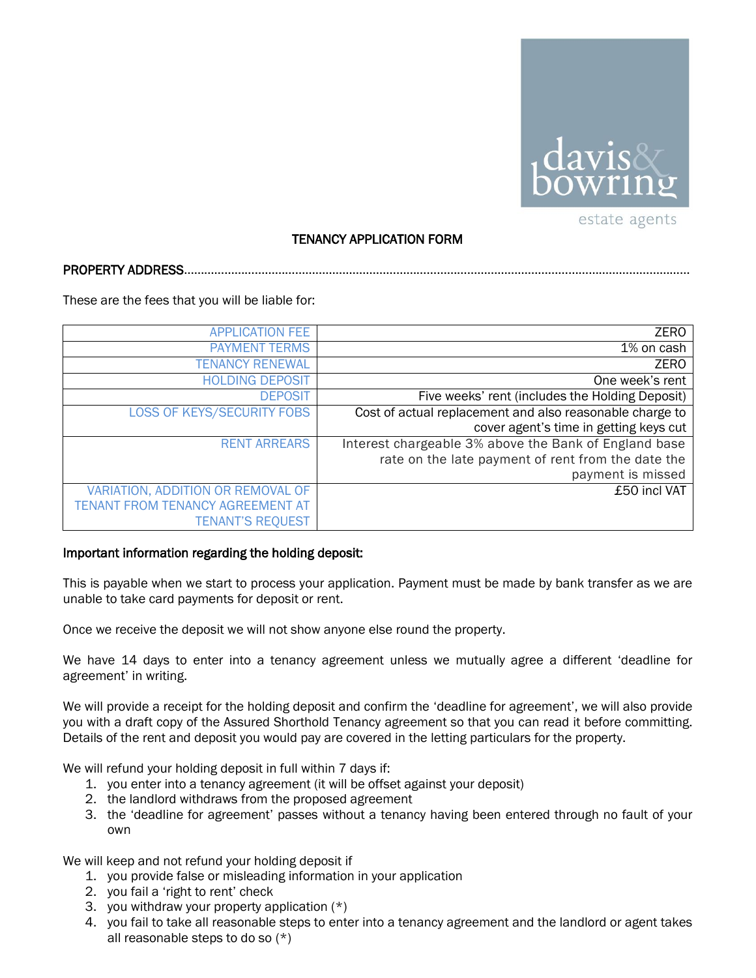

## TENANCY APPLICATION FORM

**PROPERTY ADDRESS...** 

These are the fees that you will be liable for:

| <b>APPLICATION FEE</b>            | <b>ZERO</b>                                              |
|-----------------------------------|----------------------------------------------------------|
| <b>PAYMENT TERMS</b>              | 1% on cash                                               |
| <b>TENANCY RENEWAL</b>            | <b>ZERO</b>                                              |
| <b>HOLDING DEPOSIT</b>            | One week's rent                                          |
| <b>DEPOSIT</b>                    | Five weeks' rent (includes the Holding Deposit)          |
| <b>LOSS OF KEYS/SECURITY FOBS</b> | Cost of actual replacement and also reasonable charge to |
|                                   | cover agent's time in getting keys cut                   |
| <b>RENT ARREARS</b>               | Interest chargeable 3% above the Bank of England base    |
|                                   | rate on the late payment of rent from the date the       |
|                                   | payment is missed                                        |
| VARIATION, ADDITION OR REMOVAL OF | £50 incl VAT                                             |
| TENANT FROM TENANCY AGREEMENT AT  |                                                          |
| <b>TENANT'S REQUEST</b>           |                                                          |

## Important information regarding the holding deposit:

This is payable when we start to process your application. Payment must be made by bank transfer as we are unable to take card payments for deposit or rent.

Once we receive the deposit we will not show anyone else round the property.

We have 14 days to enter into a tenancy agreement unless we mutually agree a different 'deadline for agreement' in writing.

We will provide a receipt for the holding deposit and confirm the 'deadline for agreement', we will also provide you with a draft copy of the Assured Shorthold Tenancy agreement so that you can read it before committing. Details of the rent and deposit you would pay are covered in the letting particulars for the property.

We will refund your holding deposit in full within 7 days if:

- 1. you enter into a tenancy agreement (it will be offset against your deposit)
- 2. the landlord withdraws from the proposed agreement
- 3. the 'deadline for agreement' passes without a tenancy having been entered through no fault of your own

We will keep and not refund your holding deposit if

- 1. you provide false or misleading information in your application
- 2. you fail a 'right to rent' check
- 3. you withdraw your property application (\*)
- 4. you fail to take all reasonable steps to enter into a tenancy agreement and the landlord or agent takes all reasonable steps to do so (\*)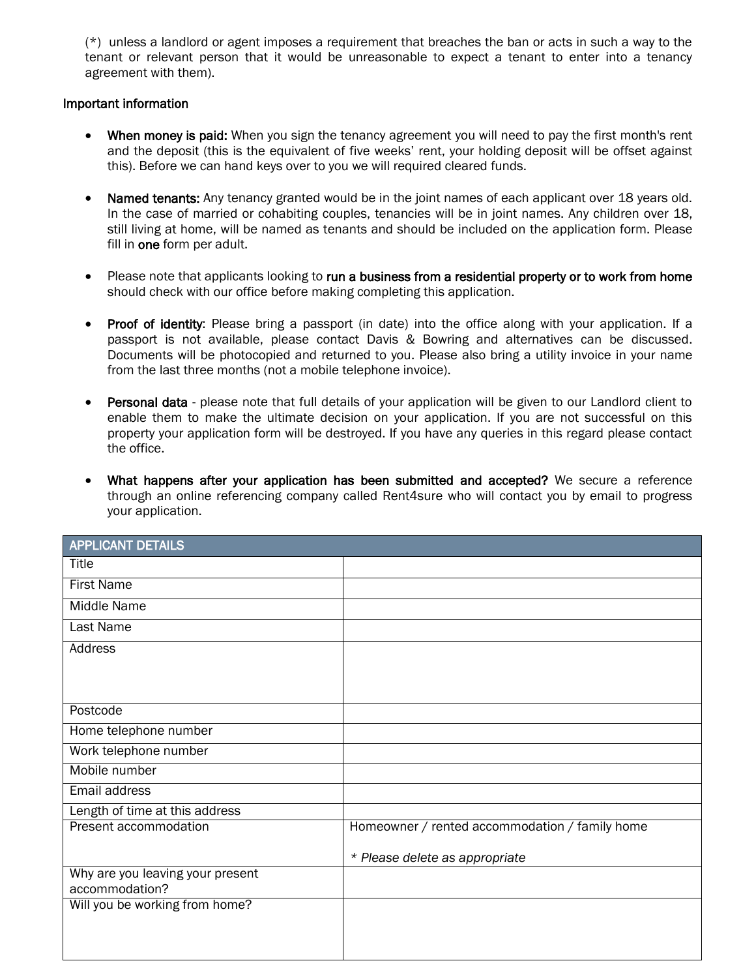(\*) unless a landlord or agent imposes a requirement that breaches the ban or acts in such a way to the tenant or relevant person that it would be unreasonable to expect a tenant to enter into a tenancy agreement with them).

## Important information

- When money is paid: When you sign the tenancy agreement you will need to pay the first month's rent and the deposit (this is the equivalent of five weeks' rent, your holding deposit will be offset against this). Before we can hand keys over to you we will required cleared funds.
- Named tenants: Any tenancy granted would be in the joint names of each applicant over 18 years old. In the case of married or cohabiting couples, tenancies will be in joint names. Any children over 18, still living at home, will be named as tenants and should be included on the application form. Please fill in one form per adult.
- Please note that applicants looking to run a business from a residential property or to work from home should check with our office before making completing this application.
- Proof of identity: Please bring a passport (in date) into the office along with your application. If a passport is not available, please contact Davis & Bowring and alternatives can be discussed. Documents will be photocopied and returned to you. Please also bring a utility invoice in your name from the last three months (not a mobile telephone invoice).
- Personal data please note that full details of your application will be given to our Landlord client to enable them to make the ultimate decision on your application. If you are not successful on this property your application form will be destroyed. If you have any queries in this regard please contact the office.
- What happens after your application has been submitted and accepted? We secure a reference through an online referencing company called Rent4sure who will contact you by email to progress your application.

| Homeowner / rented accommodation / family home |
|------------------------------------------------|
| * Please delete as appropriate                 |
|                                                |
|                                                |
|                                                |
|                                                |
|                                                |
|                                                |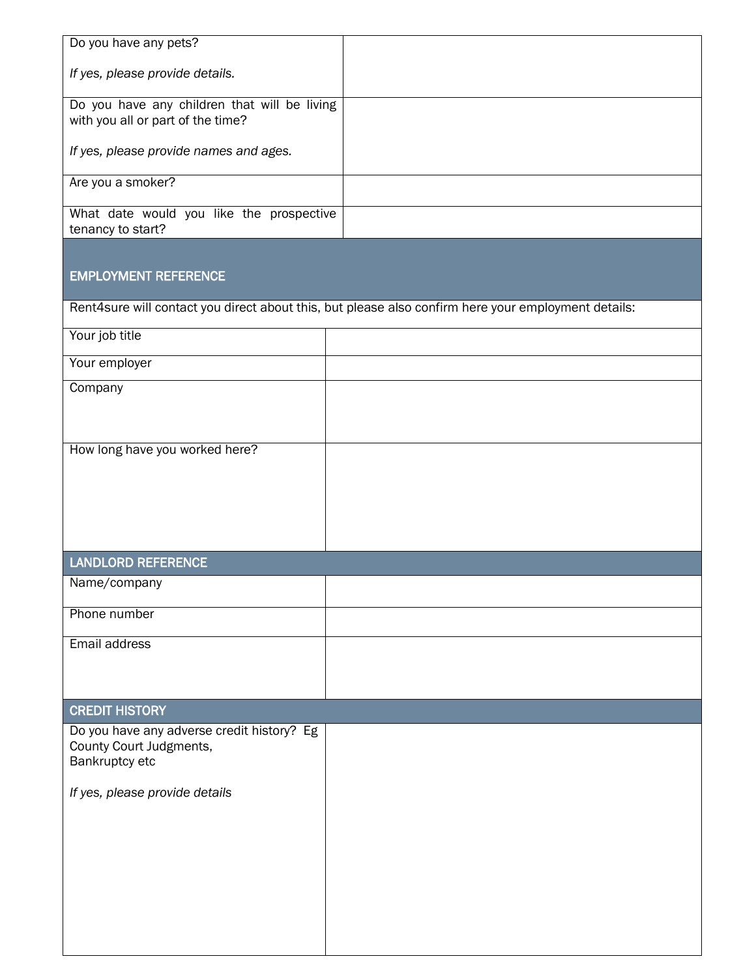| Do you have any pets?                                                             |                                                                                                     |  |
|-----------------------------------------------------------------------------------|-----------------------------------------------------------------------------------------------------|--|
| If yes, please provide details.                                                   |                                                                                                     |  |
| Do you have any children that will be living<br>with you all or part of the time? |                                                                                                     |  |
| If yes, please provide names and ages.                                            |                                                                                                     |  |
| Are you a smoker?                                                                 |                                                                                                     |  |
| What date would you like the prospective<br>tenancy to start?                     |                                                                                                     |  |
| <b>EMPLOYMENT REFERENCE</b>                                                       |                                                                                                     |  |
|                                                                                   | Rent4sure will contact you direct about this, but please also confirm here your employment details: |  |
| Your job title                                                                    |                                                                                                     |  |
| Your employer                                                                     |                                                                                                     |  |
| Company                                                                           |                                                                                                     |  |
| How long have you worked here?                                                    |                                                                                                     |  |
|                                                                                   |                                                                                                     |  |
|                                                                                   |                                                                                                     |  |
|                                                                                   |                                                                                                     |  |
| <b>LANDLORD REFERENCE</b>                                                         |                                                                                                     |  |
| Name/company                                                                      |                                                                                                     |  |
| Phone number                                                                      |                                                                                                     |  |
| Email address                                                                     |                                                                                                     |  |
|                                                                                   |                                                                                                     |  |
| <b>CREDIT HISTORY</b>                                                             |                                                                                                     |  |
| Do you have any adverse credit history? Eg                                        |                                                                                                     |  |
| County Court Judgments,<br>Bankruptcy etc                                         |                                                                                                     |  |
| If yes, please provide details                                                    |                                                                                                     |  |
|                                                                                   |                                                                                                     |  |
|                                                                                   |                                                                                                     |  |
|                                                                                   |                                                                                                     |  |
|                                                                                   |                                                                                                     |  |